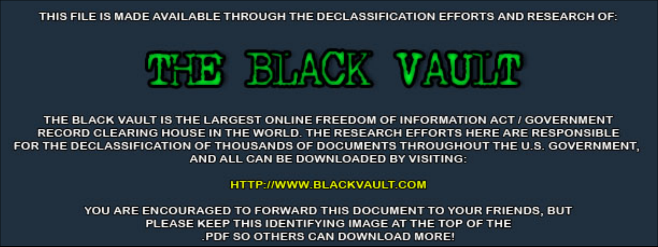THIS FILE IS MADE AVAILABLE THROUGH THE DECLASSIFICATION EFFORTS AND RESEARCH OF:



THE BLACK VAULT IS THE LARGEST ONLINE FREEDOM OF INFORMATION ACT / GOVERNMENT RECORD CLEARING HOUSE IN THE WORLD. THE RESEARCH EFFORTS HERE ARE RESPONSIBLE FOR THE DECLASSIFICATION OF THOUSANDS OF DOCUMENTS THROUGHOUT THE U.S. GOVERNMENT, AND ALL CAN BE DOWNLOADED BY VISITING:

**HTTP://WWW.BLACKVAULT.COM** 

YOU ARE ENCOURAGED TO FORWARD THIS DOCUMENT TO YOUR FRIENDS, BUT PLEASE KEEP THIS IDENTIFYING IMAGE AT THE TOP OF THE PDF SO OTHERS CAN DOWNLOAD MORE!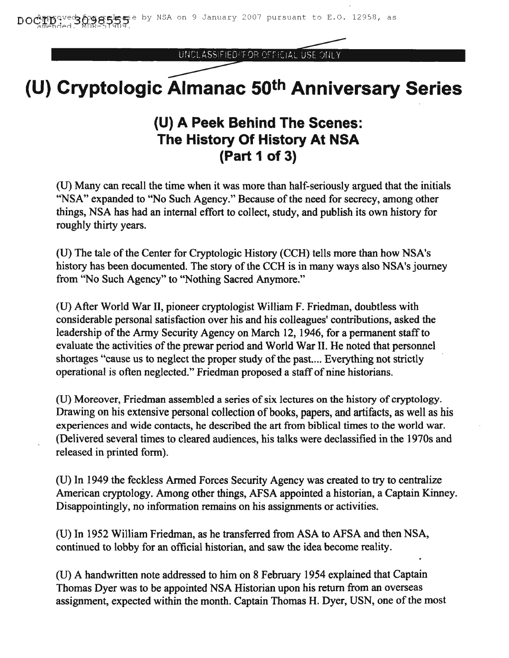UNCLASSIFIED/FOR OFFICIAL USE ONL

# **(U) Cryptologic Almanac 50th Anniversary Series**

## **(U) A Peek Behind The Scenes: The History Of History At NSA (Part 1 of 3)**

(U) Many can recall the time when it was more than half-seriously argued that the initials "NSA" expanded to "No Such Agency." Because of the need for secrecy, among other things, NSA has had an internal effort to collect, study, and publish its own history for roughly thirty years.

(U) The tale of the Center for Cryptologic History (CCH) tells more than how NSA's history has been documented. The story of the CCH is in many ways also NSA's journey from "No Such Agency" to "Nothing Sacred Anymore."

(U) After World War II, pioneer cryptologist William F. Friedman, doubtless with considerable personal satisfaction over his and his colleagues' contributions, asked the leadership of the Army Security Agency on March 12, 1946, for a permanent staff to evaluate the activities of the prewar period and World War II. He noted that personnel shortages "cause us to neglect the proper study of the past.... Everything not strictly operational is often neglected." Friedman proposed a staffof nine historians.

(U) Moreover, Friedman assembled a series of six lectures on the history of cryptology. Drawing on his extensive personal collection of books, papers, and artifacts, as well as his experiences and wide contacts, he described the art from biblical times to the world war. (Delivered several times to cleared audiences, his talks were declassified in the 1970s and released in printed form).

(U) In 1949 the feckless Armed Forces Security Agency was created to try to centralize American cryptology. Among other things, AFSA appointed a historian, a Captain Kinney. Disappointingly, no information remains on his assignments or activities.

(U) In 1952 William Friedman, as he transferred from ASA to AFSA and then NSA, continued to lobby for an official historian, and saw the idea become reality.

(U) A handwritten note addressed to him on 8 February 1954 explained that Captain Thomas Dyer was to be appointed NSA Historian upon his return from an overseas assignment, expected within the month. Captain Thomas H. Dyer, USN, one of the most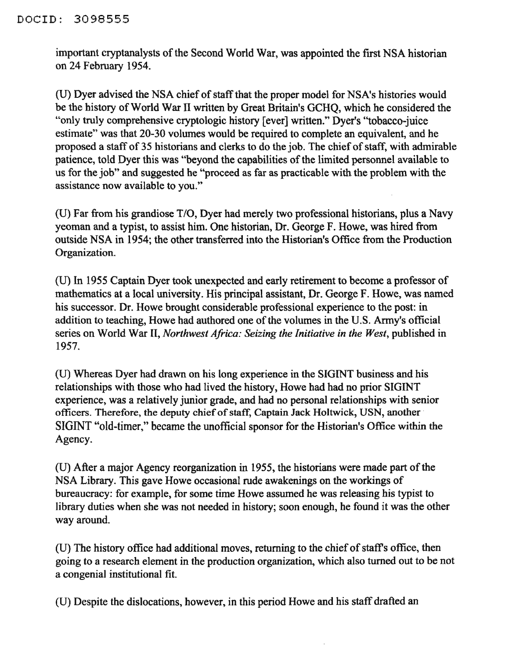### DOCID: 3098555

important cryptanalysts of the Second World War, was appointed the first NSA historian on 24 February 1954.

(U) Dyer advised the NSA chief of staff that the proper model for NSA's histories would be the history of World War II written by Great Britain's GCHQ, which he considered the "only truly comprehensive cryptologic history [ever] written." Dyer's ''tobacco-juice estimate" was that 20-30 volumes would be required to complete an equivalent, and he proposed a staff of 35 historians and clerks to do the job. The chief of staff, with admirable patience, told Dyer this was "beyond the capabilities of the limited personnel available to us for the job" and suggested he "proceed as far as practicable with the problem with the assistance now available to you."

(U) Far from his grandiose T/O, Dyer had merely two professional historians, plus a Navy yeoman and a typist, to assist him. One historian, Dr. George F. Howe, was hired from outside NSA in 1954; the other transferred into the Historian's Office from the Production Organization.

(U) In 1955 Captain Dyer took unexpected and early retirement to become a professor of mathematics at a local university. His principal assistant, Dr. George F. Howe, was named his successor. Dr. Howe brought considerable professional experience to the post: in addition to teaching, Howe had authored one of the volumes in the U.S. Army's official series on World War II, *Northwest Africa: Seizing the Initiative in the West,* published in 1957.

(U) Whereas Dyer had drawn on his long experience in the SIGINT business and his relationships with those who had lived the history, Howe had had no prior SIGINT experience, was a relatively junior grade, and had no personal relationships with senior officers. Therefore, the deputy chief of staff, Captain Jack Holtwick, USN, another SIGINT "old-timer," became the unofficial sponsor for the Historian's Office within the Agency.

(U) After a major Agency reorganization in 1955, the historians were made part of the NSA Library. This gave Howe occasional rude awakenings on the workings of bureaucracy: for example, for some time Howe assumed he was releasing his typist to library duties when she was not needed in history; soon enough, he found it was the other way around.

(U) The history office had additional moves, returning to the chief of staff's office, then going to a research element in the production organization, which also turned out to be not a congenial institutional fit.

(U) Despite the dislocations, however, in this period Howe and his staff drafted an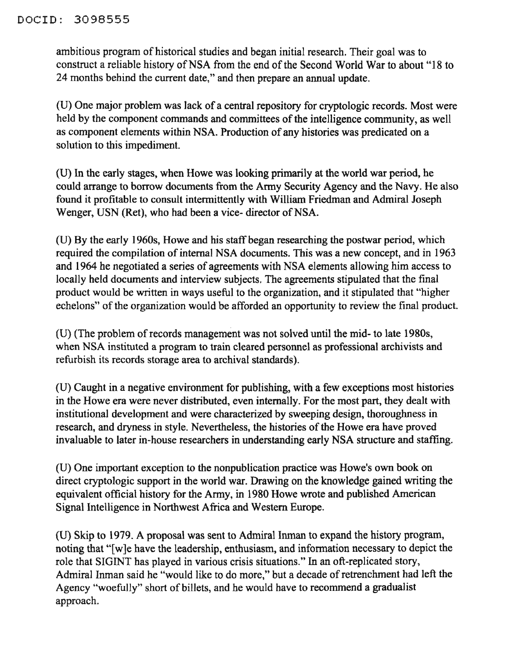### DOCID: 3098555

ambitious program of historical studies and began initial research. Their goal was to construct a reliable history of NSA from the end of the Second World War to about "18 to 24 months behind the current date," and then prepare an annual update.

(U) One major problem was lack of a central repository for cryptologic records. Most were held by the component commands and committees of the intelligence community, as well as component elements within NSA. Production of any histories was predicated on a solution to this impediment.

(U) In the early stages, when Howe was looking primarily at the world war period, he could arrange to borrow documents from the Army Security Agency and the Navy. He also found it profitable to consult intermittently with William Friedman and Admiral Joseph Wenger, USN (Ret), who had been a vice- director of NSA.

(U) By the early 1960s, Howe and his staff began researching the postwar period, which required the compilation of internal NSA documents. This was a new concept, and in 1963 and 1964 he negotiated a series of agreements with NSA elements allowing him access to locally held documents and interview subjects. The agreements stipulated that the final product would be written in ways useful to the organization, and it stipulated that "higher echelons" of the organization would be afforded an opportunity to review the final product.

(U) (The problem of records management was not solved until the mid- to late 1980s, when NSA instituted a program to train cleared personnel as professional archivists and refurbish its records storage area to archival standards).

(U) Caught in a negative environment for publishing, with a few exceptions most histories in the Howe era were never distributed, even internally. For the most part, they dealt with institutional development and were characterized by sweeping design, thoroughness in research, and dryness in style. Nevertheless, the histories of the Howe era have proved invaluable to later in-house researchers in understanding early NSA structure and staffing.

(U) One important exception to the nonpublication practice was Howe's own book on direct cryptologic support in the world war. Drawing on the knowledge gained writing the equivalent official history for the Army, in 1980 Howe wrote and published American Signal Intelligence in Northwest Africa and Western Europe.

(U) Skip to 1979. A proposal was sent to Admiral Inman to expand the history program, noting that "[w]e have the leadership, enthusiasm, and information necessary to depict the role that SIGINT has played in various crisis situations." In an oft-replicated story, Admiral Inman said he "would like to do more," but a decade of retrenchment had left the Agency "woefully" short of billets, and he would have to recommend a gradualist approach.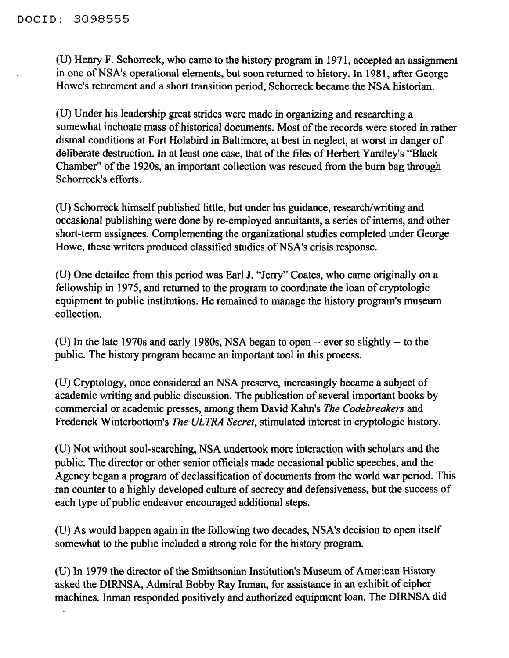(U) Henry F. Schorreck, who came to the history program in 1971, accepted an assignment in one of NSA's operational elements, but soon returned to history. In 1981, after George Howe's retirement and a short transition period, Schorreck became the NSA historian.

(U) Under his leadership great strides were made in organizing and researching a somewhat inchoate mass of historical documents. Most of the records were stored in rather dismal conditions at Fort Holabird in Baltimore, at best in neglect, at worst in danger of deliberate destruction. In at least one case, that of the files of Herbert Yardley's "Black Chamber" of the 1920s, an important collection was rescued from the burn bag through Schorreck's efforts.

(U) Schorreck himself published little, but under his guidance, research/writing and occasional publishing were done by re-employed annuitants, a series of interns, and other short-term assignees. Complementing the organizational studies completed under George Howe, these writers produced classified studies of NSA's crisis response.

(U) One detailee from this period was Earl J. "Jerry" Coates, who came originally on a fellowship in 1975, and returned to the program to coordinate the loan of cryptologic equipment to public institutions. He remained to manage the history program's museum collection.

(U) In the late 1970s and early 1980s, NSA began to open -- ever so slightly -- to the public. The history program became an important tool in this process.

(U) Cryptology, once considered an NSA preserve, increasingly became a subject of academic writing and public discussion. The publication of several important books by commercial or academic presses, among them David Kahn's *The Codebreakers* and Frederick Winterbottom's *The ULTRA Secret,* stimulated interest in cryptologic history.

(U) Not without soul-searching, NSA undertook more interaction with scholars and the public. The director or other senior officials made occasional public speeches, and the Agency began a program of declassification of documents from the world war period. This ran counter to a highly developed culture of secrecy and defensiveness, but the success of each type of public endeavor encouraged additional steps.

(U) As would happen again in the following two decades, NSA's decision to open itself somewhat to the public included a strong role for the history program.

(U) In 1979 the director of the Smithsonian Institution's Museum of American History asked the DIRNSA, Admiral Bobby Ray Inman, for assistance in an exhibit of cipher machines. Inman responded positively and authorized equipment loan. The DIRNSA did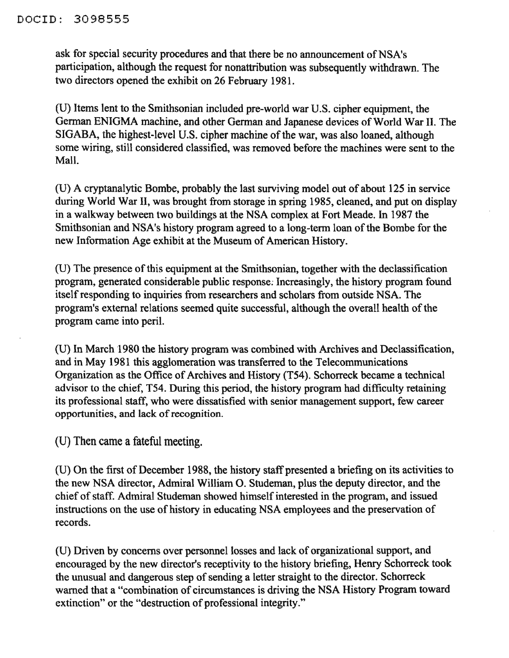#### DOCID: 3098555

ask for special security procedures and that there be no announcement of NSA's participation, although the request for nonattribution was subsequently withdrawn. The two directors opened the exhibit on 26 February 1981.

(U) Items lent to the Smithsonian included pre-world war U.S. cipher equipment, the German ENIGMA machine, and other German and Japanese devices of World War II. The SIGABA, the highest-level U.S. cipher machine of the war, was also loaned, although some wiring, still considered classified, was removed before the machines were sent to the Mall.

(U) A cryptanalytic Bombe, probably the last surviving model out of about 125 in service during World War II, was brought from storage in spring 1985, cleaned, and put on display in a walkway between two buildings at the NSA complex at Fort Meade. In 1987 the Smithsonian and NSA's history program agreed to a long-term loan of the Bombe for the new Information Age exhibit at the Museum of American History.

(U) The presence of this equipment at the Smithsonian, together with the declassification program, generated considerable public response: Increasingly, the history program found itself responding to inquiries from researchers and scholars from outside NSA. The program's external relations seemed quite successful, although the overall health of the program came into peril.

(U) In March 1980 the history program was combined with Archives and Declassification, and in May 1981 this agglomeration was transferred to the Telecommunications Organization as the Office of Archives and History (T54). Schorreck became a technical advisor to the chief, T54. During this period, the history program had difficulty retaining its professional staff, who were dissatisfied with senior management support, few career opportunities, and lack of recognition.

(U) Then came a fateful meeting.

(U) On the first of December 1988, the history staff presented a briefing on its activities to the new NSA director, Admiral William O. Studeman, plus the deputy director, and the chief of staff. Admiral Studeman showed himself interested in the program, and issued instructions on the use of history in educating NSA employees and the preservation of records.

(U) Driven by concerns over personnel losses and lack of organizational support, and encouraged by the new director's receptivity to the history briefing, Henry Schorreck took the unusual and dangerous step of sending a letter straight to the director. Schorreck warned that a "combination of circumstances is driving the NSA History Program toward extinction" or the "destruction of professional integrity."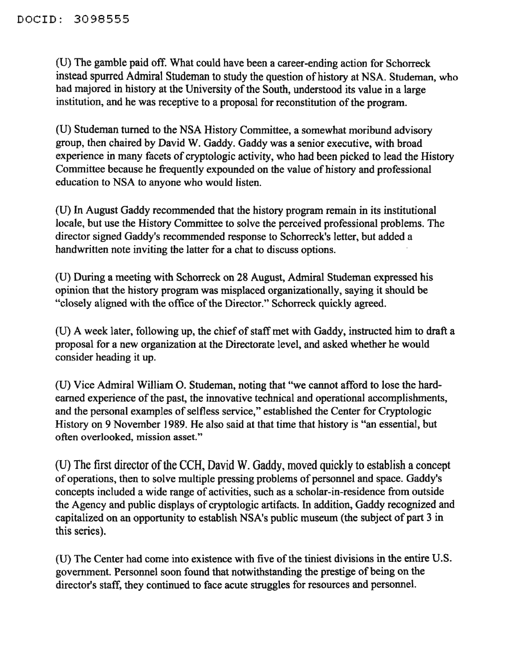(U) The gamble paid off. What could have been a career-ending action for Schorreck instead spurred Admiral Studeman to study the question of history at NSA. Studeman, who had majored in history at the University of the South, understood its value in a large institution, and he was receptive to a proposal for reconstitution of the program.

(V) Studeman turned to the NSA History Committee, a somewhat moribund advisory group, then chaired by David W. Gaddy. Gaddy was a senior executive, with broad experience in many facets of cryptologic activity, who had been picked to lead the History Committee because he frequently expounded on the value of history and professional education to NSA to anyone who would listen.

(U) In August Gaddy recommended that the history program remain in its institutional locale, but use the History Committee to solve the perceived professional problems. The director signed Gaddy's recommended response to Schorreck's letter, but added a handwritten note inviting the latter for a chat to discuss options.

(U) During a meeting with Schorreck on 28 August, Admiral Studeman expressed his opinion that the history program was misplaced organizationally, saying it should be "closely aligned with the office of the Director." Schorreck quickly agreed.

(U) A week later, following up, the chief of staff met with Gaddy, instructed him to draft a proposal for a new organization at the Directorate level, and asked whether he would consider heading it up.

(V) Vice Admiral William O. Studeman, noting that "we cannot afford to lose the hardearned experience of the past, the innovative technical and operational accomplishments, and the personal examples of selfless service," established the Center for Cryptologic History on 9 November 1989. He also said at that time that history is "an essential, but often overlooked, mission asset."

(U) The first director of the CCH, David W. Gaddy, moved quickly to establish a concept of operations, then to solve multiple pressing problems of personnel and space. Gaddy's concepts included a wide range of activities, such as a scholar-in-residence from outside the Agency and public displays of cryptologic artifacts. In addition, Gaddy recognized and capitalized on an opportunity to establish NSA's public museum (the subject of part 3 in this series).

(U) The Center had come into existence with five of the tiniest divisions in the entire U.S. government. Personnel soon found that notwithstanding the prestige of being on the director's staff, they continued to face acute struggles for resources and personnel.